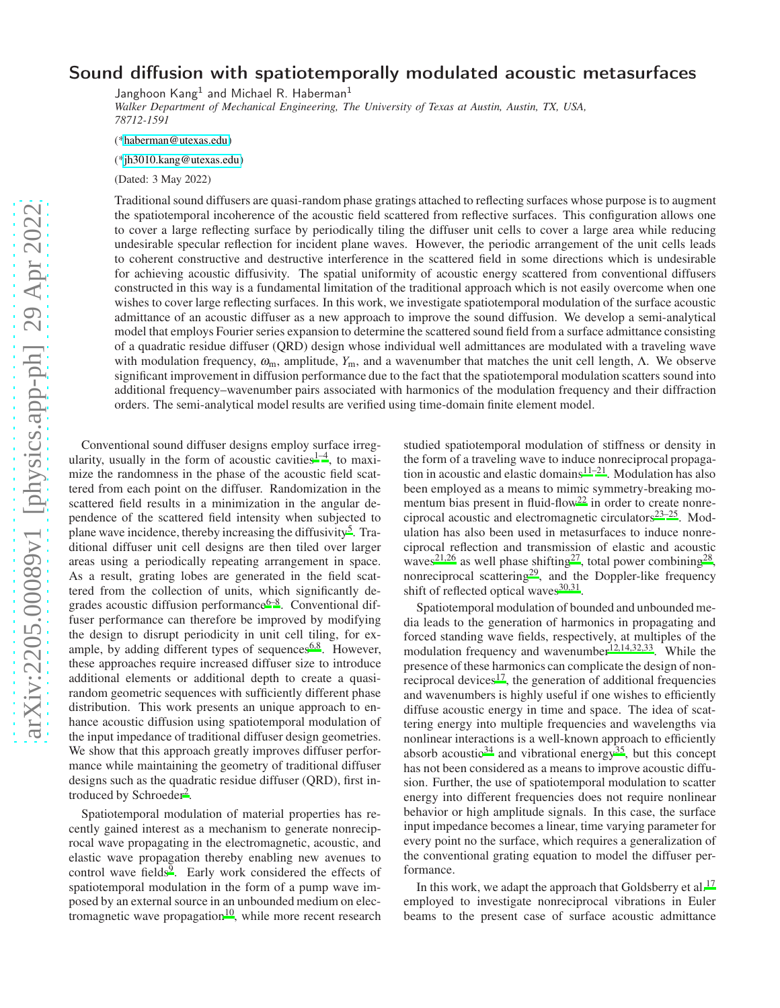## Sound diffusion with spatiotemporally modulated acoustic metasurfaces

Janghoon  $\mathsf{Kang}^1$  and Michael R. Haberman $^1$ 

*Walker Department of Mechanical Engineering, The University of Texas at Austin, Austin, TX, USA, 78712-1591*

([\\*haberman@utexas.edu\)](mailto:haberman@utexas.edu)

([\\*jh3010.kang@utexas.edu\)](mailto:jh3010.kang@utexas.edu)

(Dated: 3 May 2022)

Traditional sound diffusers are quasi-random phase gratings attached to reflecting surfaces whose purpose is to augment the spatiotemporal incoherence of the acoustic field scattered from reflective surfaces. This configuration allows one to cover a large reflecting surface by periodically tiling the diffuser unit cells to cover a large area while reducing undesirable specular reflection for incident plane waves. However, the periodic arrangement of the unit cells leads to coherent constructive and destructive interference in the scattered field in some directions which is undesirable for achieving acoustic diffusivity. The spatial uniformity of acoustic energy scattered from conventional diffusers constructed in this way is a fundamental limitation of the traditional approach which is not easily overcome when one wishes to cover large reflecting surfaces. In this work, we investigate spatiotemporal modulation of the surface acoustic admittance of an acoustic diffuser as a new approach to improve the sound diffusion. We develop a semi-analytical model that employs Fourier series expansion to determine the scattered sound field from a surface admittance consisting of a quadratic residue diffuser (QRD) design whose individual well admittances are modulated with a traveling wave with modulation frequency,  $\omega_m$ , amplitude,  $Y_m$ , and a wavenumber that matches the unit cell length,  $\Lambda$ . We observe significant improvement in diffusion performance due to the fact that the spatiotemporal modulation scatters sound into additional frequency–wavenumber pairs associated with harmonics of the modulation frequency and their diffraction orders. The semi-analytical model results are verified using time-domain finite element model.

Conventional sound diffuser designs employ surface irregularity, usually in the form of acoustic cavities<sup> $1-4$  $1-4$ </sup>, to maximize the randomness in the phase of the acoustic field scattered from each point on the diffuser. Randomization in the scattered field results in a minimization in the angular dependence of the scattered field intensity when subjected to plane wave incidence, thereby increasing the diffusivity<sup>[5](#page-4-2)</sup>. Traditional diffuser unit cell designs are then tiled over larger areas using a periodically repeating arrangement in space. As a result, grating lobes are generated in the field scattered from the collection of units, which significantly degrades acoustic diffusion performance $6-8$  $6-8$ . Conventional diffuser performance can therefore be improved by modifying the design to disrupt periodicity in unit cell tiling, for ex-ample, by adding different types of sequences<sup>[6](#page-4-3)[,8](#page-4-4)</sup>. However, these approaches require increased diffuser size to introduce additional elements or additional depth to create a quasirandom geometric sequences with sufficiently different phase distribution. This work presents an unique approach to enhance acoustic diffusion using spatiotemporal modulation of the input impedance of traditional diffuser design geometries. We show that this approach greatly improves diffuser performance while maintaining the geometry of traditional diffuser designs such as the quadratic residue diffuser (QRD), first in-troduced by Schroeder<sup>[2](#page-4-5)</sup>.

Spatiotemporal modulation of material properties has recently gained interest as a mechanism to generate nonreciprocal wave propagating in the electromagnetic, acoustic, and elastic wave propagation thereby enabling new avenues to control wave fields $\overline{9}$  $\overline{9}$  $\overline{9}$ . Early work considered the effects of spatiotemporal modulation in the form of a pump wave imposed by an external source in an unbounded medium on elec-tromagnetic wave propagation<sup>[10](#page-5-0)</sup>, while more recent research studied spatiotemporal modulation of stiffness or density in the form of a traveling wave to induce nonreciprocal propagation in acoustic and elastic domains $1^{1-21}$ . Modulation has also been employed as a means to mimic symmetry-breaking mo-mentum bias present in fluid-flow<sup>[22](#page-5-3)</sup> in order to create nonreciprocal acoustic and electromagnetic circulators $23-25$  $23-25$ . Modulation has also been used in metasurfaces to induce nonreciprocal reflection and transmission of elastic and acoustic waves<sup>[21](#page-5-2)[,26](#page-5-6)</sup> as well phase shifting<sup>[27](#page-5-7)</sup>, total power combining<sup>[28](#page-5-8)</sup>, nonreciprocal scattering<sup>[29](#page-5-9)</sup>, and the Doppler-like frequency shift of reflected optical waves<sup>[30](#page-5-10)[,31](#page-5-11)</sup>.

Spatiotemporal modulation of bounded and unbounded media leads to the generation of harmonics in propagating and forced standing wave fields, respectively, at multiples of the modulation frequency and wavenumber<sup>[12](#page-5-12)[,14](#page-5-13)[,32](#page-5-14)[,33](#page-5-15)</sup>. While the presence of these harmonics can complicate the design of nonreciprocal devices $17$ , the generation of additional frequencies and wavenumbers is highly useful if one wishes to efficiently diffuse acoustic energy in time and space. The idea of scattering energy into multiple frequencies and wavelengths via nonlinear interactions is a well-known approach to efficiently absorb acoustic<sup>[34](#page-5-17)</sup> and vibrational energy<sup>[35](#page-5-18)</sup>, but this concept has not been considered as a means to improve acoustic diffusion. Further, the use of spatiotemporal modulation to scatter energy into different frequencies does not require nonlinear behavior or high amplitude signals. In this case, the surface input impedance becomes a linear, time varying parameter for every point no the surface, which requires a generalization of the conventional grating equation to model the diffuser performance.

In this work, we adapt the approach that Goldsberry et al.<sup>[17](#page-5-16)</sup> employed to investigate nonreciprocal vibrations in Euler beams to the present case of surface acoustic admittance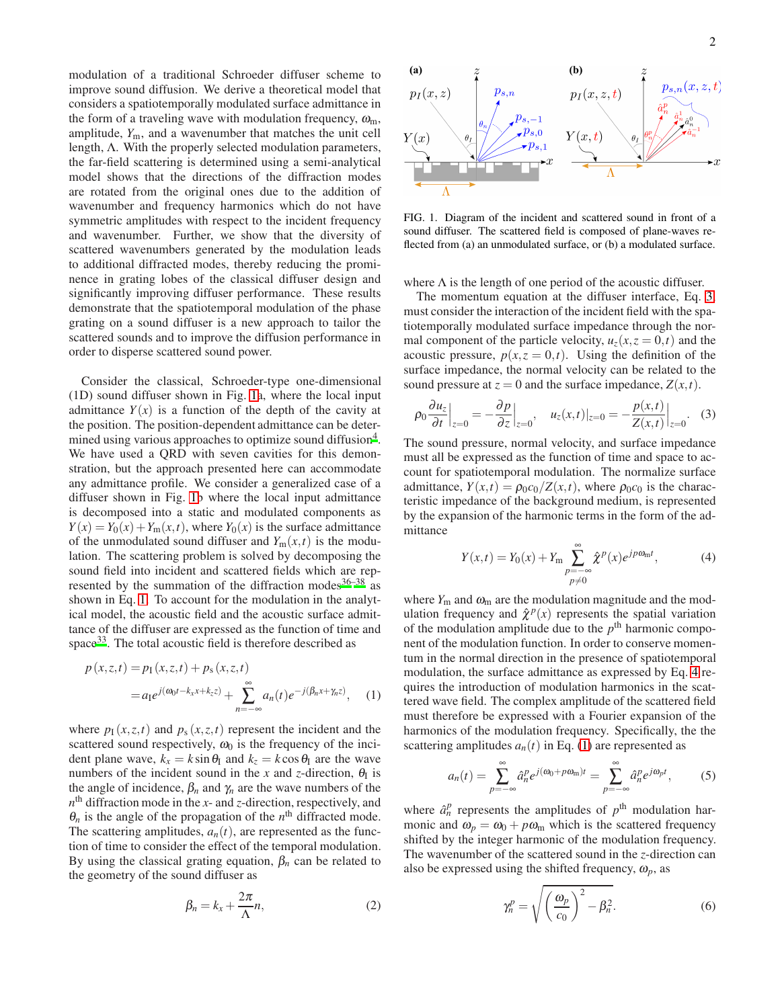modulation of a traditional Schroeder diffuser scheme to improve sound diffusion. We derive a theoretical model that considers a spatiotemporally modulated surface admittance in the form of a traveling wave with modulation frequency,  $\omega_{\rm m}$ , amplitude,  $Y_{\text{m}}$ , and a wavenumber that matches the unit cell length, Λ. With the properly selected modulation parameters, the far-field scattering is determined using a semi-analytical model shows that the directions of the diffraction modes are rotated from the original ones due to the addition of wavenumber and frequency harmonics which do not have symmetric amplitudes with respect to the incident frequency and wavenumber. Further, we show that the diversity of scattered wavenumbers generated by the modulation leads to additional diffracted modes, thereby reducing the prominence in grating lobes of the classical diffuser design and significantly improving diffuser performance. These results demonstrate that the spatiotemporal modulation of the phase grating on a sound diffuser is a new approach to tailor the scattered sounds and to improve the diffusion performance in order to disperse scattered sound power.

Consider the classical, Schroeder-type one-dimensional (1D) sound diffuser shown in Fig. [1a](#page-1-0), where the local input admittance  $Y(x)$  is a function of the depth of the cavity at the position. The position-dependent admittance can be deter-mined using various approaches to optimize sound diffusion<sup>[4](#page-4-1)</sup>. We have used a QRD with seven cavities for this demonstration, but the approach presented here can accommodate any admittance profile. We consider a generalized case of a diffuser shown in Fig. [1b](#page-1-0) where the local input admittance is decomposed into a static and modulated components as  $Y(x) = Y_0(x) + Y_m(x,t)$ , where  $Y_0(x)$  is the surface admittance of the unmodulated sound diffuser and  $Y_m(x,t)$  is the modulation. The scattering problem is solved by decomposing the sound field into incident and scattered fields which are represented by the summation of the diffraction modes $36-38$  $36-38$  as shown in Eq. [1.](#page-1-1) To account for the modulation in the analytical model, the acoustic field and the acoustic surface admittance of the diffuser are expressed as the function of time and space $33$ . The total acoustic field is therefore described as

$$
p(x, z, t) = p_1(x, z, t) + p_s(x, z, t)
$$
  
=  $a_1 e^{j(\omega_0 t - k_x x + k_z z)} + \sum_{n=-\infty}^{\infty} a_n(t) e^{-j(\beta_n x + \gamma_n z)},$  (1)

where  $p_1(x, z, t)$  and  $p_s(x, z, t)$  represent the incident and the scattered sound respectively,  $\omega_0$  is the frequency of the incident plane wave,  $k_x = k \sin \theta_1$  and  $k_z = k \cos \theta_1$  are the wave numbers of the incident sound in the *x* and *z*-direction,  $\theta_{I}$  is the angle of incidence,  $\beta_n$  and  $\gamma_n$  are the wave numbers of the *n* th diffraction mode in the *x*- and *z*-direction, respectively, and  $\theta_n$  is the angle of the propagation of the  $n^{\text{th}}$  diffracted mode. The scattering amplitudes,  $a_n(t)$ , are represented as the function of time to consider the effect of the temporal modulation. By using the classical grating equation,  $\beta_n$  can be related to the geometry of the sound diffuser as

$$
\beta_n = k_x + \frac{2\pi}{\Lambda} n,\tag{2}
$$



<span id="page-1-0"></span>FIG. 1. Diagram of the incident and scattered sound in front of a sound diffuser. The scattered field is composed of plane-waves reflected from (a) an unmodulated surface, or (b) a modulated surface.

where  $\Lambda$  is the length of one period of the acoustic diffuser.

The momentum equation at the diffuser interface, Eq. [3,](#page-1-2) must consider the interaction of the incident field with the spatiotemporally modulated surface impedance through the normal component of the particle velocity,  $u_z(x, z = 0, t)$  and the acoustic pressure,  $p(x, z = 0, t)$ . Using the definition of the surface impedance, the normal velocity can be related to the sound pressure at  $z = 0$  and the surface impedance,  $Z(x,t)$ .

$$
\rho_0 \frac{\partial u_z}{\partial t}\Big|_{z=0} = -\frac{\partial p}{\partial z}\Big|_{z=0}, \quad u_z(x,t)|_{z=0} = -\frac{p(x,t)}{Z(x,t)}\Big|_{z=0}.
$$
 (3)

The sound pressure, normal velocity, and surface impedance must all be expressed as the function of time and space to account for spatiotemporal modulation. The normalize surface admittance,  $Y(x,t) = \rho_0 c_0/Z(x,t)$ , where  $\rho_0 c_0$  is the characteristic impedance of the background medium, is represented by the expansion of the harmonic terms in the form of the admittance

<span id="page-1-3"></span><span id="page-1-2"></span>
$$
Y(x,t) = Y_0(x) + Y_m \sum_{\substack{p = -\infty \\ p \neq 0}}^{\infty} \hat{\chi}^p(x) e^{jp\omega_m t},
$$
 (4)

<span id="page-1-1"></span>where  $Y_m$  and  $\omega_m$  are the modulation magnitude and the modulation frequency and  $\hat{\chi}^p(x)$  represents the spatial variation of the modulation amplitude due to the  $p<sup>th</sup>$  harmonic component of the modulation function. In order to conserve momentum in the normal direction in the presence of spatiotemporal modulation, the surface admittance as expressed by Eq. [4](#page-1-3) requires the introduction of modulation harmonics in the scattered wave field. The complex amplitude of the scattered field must therefore be expressed with a Fourier expansion of the harmonics of the modulation frequency. Specifically, the the scattering amplitudes  $a_n(t)$  in Eq. [\(1\)](#page-1-1) are represented as

$$
a_n(t) = \sum_{p=-\infty}^{\infty} \hat{a}_n^p e^{j(\omega_0 + p\omega_m)t} = \sum_{p=-\infty}^{\infty} \hat{a}_n^p e^{j\omega_p t},
$$
 (5)

where  $\hat{a}_n^p$  represents the amplitudes of  $p^{\text{th}}$  modulation harmonic and  $\omega_p = \omega_0 + p\omega_m$  which is the scattered frequency shifted by the integer harmonic of the modulation frequency. The wavenumber of the scattered sound in the *z*-direction can also be expressed using the shifted frequency,  $\omega_p$ , as

<span id="page-1-5"></span><span id="page-1-4"></span>
$$
\gamma_n^p = \sqrt{\left(\frac{\omega_p}{c_0}\right)^2 - \beta_n^2}.\tag{6}
$$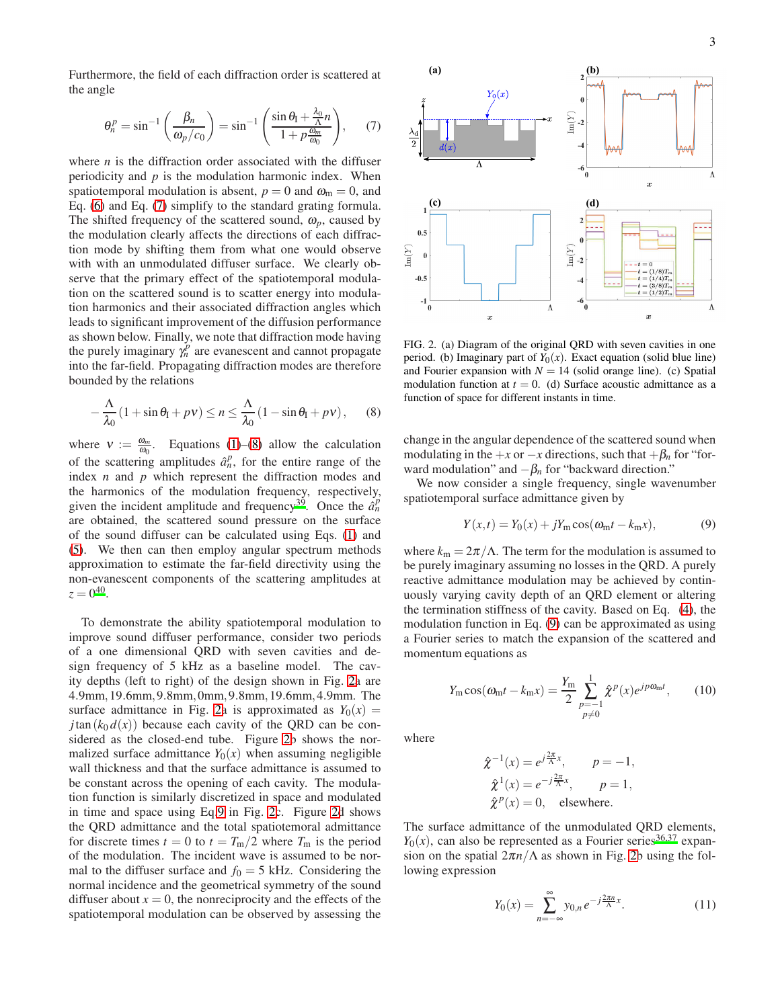Furthermore, the field of each diffraction order is scattered at the angle

<span id="page-2-0"></span>
$$
\theta_n^p = \sin^{-1}\left(\frac{\beta_n}{\omega_p/c_0}\right) = \sin^{-1}\left(\frac{\sin\theta_1 + \frac{\lambda_0}{\Lambda}n}{1 + p\frac{\omega_m}{\omega_0}}\right),\qquad(7)
$$

where  $n$  is the diffraction order associated with the diffuser periodicity and *p* is the modulation harmonic index. When spatiotemporal modulation is absent,  $p = 0$  and  $\omega_m = 0$ , and Eq. [\(6\)](#page-1-4) and Eq. [\(7\)](#page-2-0) simplify to the standard grating formula. The shifted frequency of the scattered sound,  $\omega_p$ , caused by the modulation clearly affects the directions of each diffraction mode by shifting them from what one would observe with with an unmodulated diffuser surface. We clearly observe that the primary effect of the spatiotemporal modulation on the scattered sound is to scatter energy into modulation harmonics and their associated diffraction angles which leads to significant improvement of the diffusion performance as shown below. Finally, we note that diffraction mode having the purely imaginary  $\gamma_n^p$  are evanescent and cannot propagate into the far-field. Propagating diffraction modes are therefore bounded by the relations

<span id="page-2-1"></span>
$$
-\frac{\Lambda}{\lambda_0}(1+\sin\theta_\text{I}+p\nu)\leq n\leq \frac{\Lambda}{\lambda_0}(1-\sin\theta_\text{I}+p\nu),\qquad(8)
$$

where  $v := \frac{\omega_m}{\omega_0}$ . Equations [\(1\)](#page-1-1)–[\(8\)](#page-2-1) allow the calculation of the scattering amplitudes  $\hat{a}_n^p$ , for the entire range of the index *n* and *p* which represent the diffraction modes and the harmonics of the modulation frequency, respectively, given the incident amplitude and frequency<sup>[39](#page-5-21)</sup>. Once the  $\hat{a}_n^p$ are obtained, the scattered sound pressure on the surface of the sound diffuser can be calculated using Eqs. [\(1\)](#page-1-1) and [\(5\)](#page-1-5). We then can then employ angular spectrum methods approximation to estimate the far-field directivity using the non-evanescent components of the scattering amplitudes at  $z = 0^{40}$  $z = 0^{40}$  $z = 0^{40}$ .

To demonstrate the ability spatiotemporal modulation to improve sound diffuser performance, consider two periods of a one dimensional QRD with seven cavities and design frequency of 5 kHz as a baseline model. The cavity depths (left to right) of the design shown in Fig. [2a](#page-2-2) are 4.9mm,19.6mm,9.8mm,0mm,9.8mm,19.6mm,4.9mm. The surface admittance in Fig. [2a](#page-2-2) is approximated as  $Y_0(x) =$ *j*tan  $(k_0 d(x))$  because each cavity of the QRD can be considered as the closed-end tube. Figure [2b](#page-2-2) shows the normalized surface admittance  $Y_0(x)$  when assuming negligible wall thickness and that the surface admittance is assumed to be constant across the opening of each cavity. The modulation function is similarly discretized in space and modulated in time and space using Eq[.9](#page-2-3) in Fig. [2c](#page-2-2). Figure [2d](#page-2-2) shows the QRD admittance and the total spatiotemoral admittance for discrete times  $t = 0$  to  $t = T_{\text{m}}/2$  where  $T_{\text{m}}$  is the period of the modulation. The incident wave is assumed to be normal to the diffuser surface and  $f_0 = 5$  kHz. Considering the normal incidence and the geometrical symmetry of the sound diffuser about  $x = 0$ , the nonreciprocity and the effects of the spatiotemporal modulation can be observed by assessing the



<span id="page-2-2"></span>FIG. 2. (a) Diagram of the original QRD with seven cavities in one period. (b) Imaginary part of  $Y_0(x)$ . Exact equation (solid blue line) and Fourier expansion with  $N = 14$  (solid orange line). (c) Spatial modulation function at  $t = 0$ . (d) Surface acoustic admittance as a function of space for different instants in time.

change in the angular dependence of the scattered sound when modulating in the  $+x$  or  $-x$  directions, such that  $+\beta_n$  for "forward modulation" and  $-\beta_n$  for "backward direction."

We now consider a single frequency, single wavenumber spatiotemporal surface admittance given by

<span id="page-2-3"></span>
$$
Y(x,t) = Y_0(x) + jY_m \cos(\omega_m t - k_m x),
$$
\n(9)

where  $k_m = 2\pi/\Lambda$ . The term for the modulation is assumed to be purely imaginary assuming no losses in the QRD. A purely reactive admittance modulation may be achieved by continuously varying cavity depth of an QRD element or altering the termination stiffness of the cavity. Based on Eq. [\(4\)](#page-1-3), the modulation function in Eq. [\(9\)](#page-2-3) can be approximated as using a Fourier series to match the expansion of the scattered and momentum equations as

<span id="page-2-4"></span>
$$
Y_{\rm m}\cos(\omega_{\rm m}t - k_{\rm m}x) = \frac{Y_{\rm m}}{2} \sum_{\substack{p=-1\\p\neq 0}}^1 \hat{\chi}^p(x) e^{jp\omega_{\rm m}t},\qquad(10)
$$

where

$$
\hat{\chi}^{-1}(x) = e^{j\frac{2\pi}{\Lambda}x}, \quad p = -1,
$$
  
\n
$$
\hat{\chi}^{1}(x) = e^{-j\frac{2\pi}{\Lambda}x}, \quad p = 1,
$$
  
\n
$$
\hat{\chi}^{p}(x) = 0, \quad \text{elsewhere.}
$$

The surface admittance of the unmodulated QRD elements,  $Y_0(x)$ , can also be represented as a Fourier series<sup>[36](#page-5-19)[,37](#page-5-23)</sup> expansion on the spatial  $2\pi n/\Lambda$  as shown in Fig. [2b](#page-2-2) using the following expression

<span id="page-2-5"></span>
$$
Y_0(x) = \sum_{n = -\infty}^{\infty} y_{0,n} e^{-j\frac{2\pi n}{\Lambda}x}.
$$
 (11)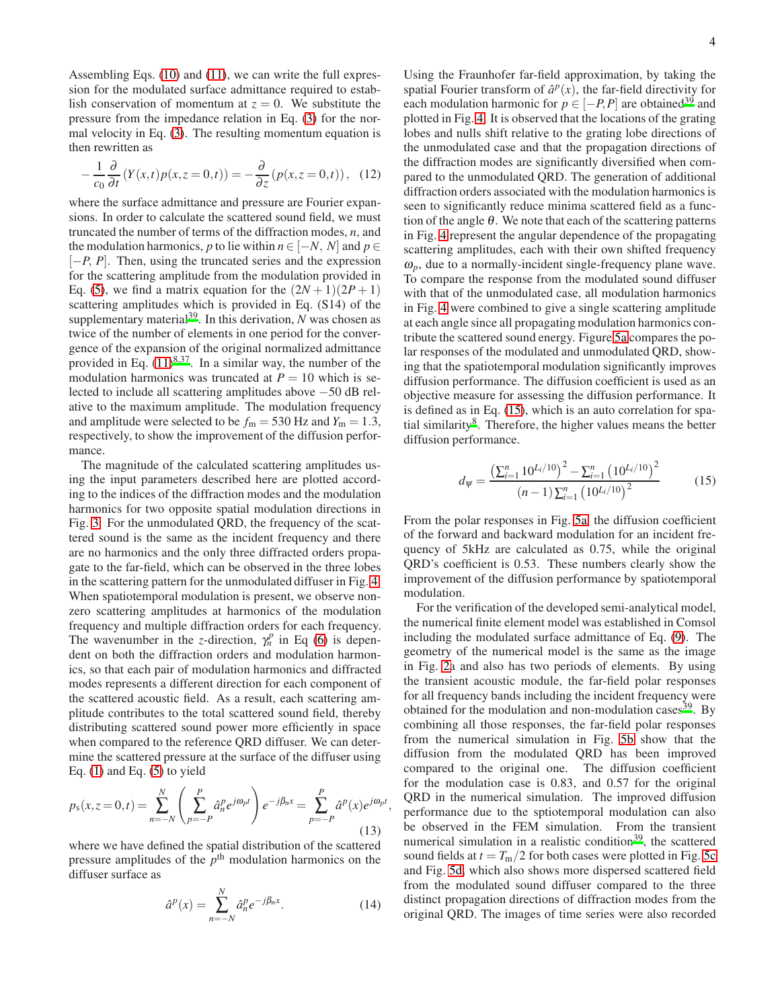Assembling Eqs. [\(10\)](#page-2-4) and [\(11\)](#page-2-5), we can write the full expression for the modulated surface admittance required to establish conservation of momentum at  $z = 0$ . We substitute the pressure from the impedance relation in Eq. [\(3\)](#page-1-2) for the normal velocity in Eq. [\(3\)](#page-1-2). The resulting momentum equation is then rewritten as

$$
-\frac{1}{c_0}\frac{\partial}{\partial t}\left(Y(x,t)p(x,z=0,t)\right)=-\frac{\partial}{\partial z}\left(p(x,z=0,t)\right),\quad(12)
$$

where the surface admittance and pressure are Fourier expansions. In order to calculate the scattered sound field, we must truncated the number of terms of the diffraction modes, *n*, and the modulation harmonics, *p* to lie within  $n \in [-N, N]$  and  $p \in$ [−*P*, *P*]. Then, using the truncated series and the expression for the scattering amplitude from the modulation provided in Eq. [\(5\)](#page-1-5), we find a matrix equation for the  $(2N+1)(2P+1)$ scattering amplitudes which is provided in Eq. (S14) of the supplementary material<sup>[39](#page-5-21)</sup>. In this derivation,  $N$  was chosen as twice of the number of elements in one period for the convergence of the expansion of the original normalized admittance provided in Eq.  $(11)^{8,37}$  $(11)^{8,37}$  $(11)^{8,37}$  $(11)^{8,37}$  $(11)^{8,37}$ . In a similar way, the number of the modulation harmonics was truncated at  $P = 10$  which is selected to include all scattering amplitudes above −50 dB relative to the maximum amplitude. The modulation frequency and amplitude were selected to be  $f_m = 530$  Hz and  $Y_m = 1.3$ , respectively, to show the improvement of the diffusion performance.

The magnitude of the calculated scattering amplitudes using the input parameters described here are plotted according to the indices of the diffraction modes and the modulation harmonics for two opposite spatial modulation directions in Fig. [3.](#page-4-7) For the unmodulated QRD, the frequency of the scattered sound is the same as the incident frequency and there are no harmonics and the only three diffracted orders propagate to the far-field, which can be observed in the three lobes in the scattering pattern for the unmodulated diffuser in Fig. [4.](#page-4-8) When spatiotemporal modulation is present, we observe nonzero scattering amplitudes at harmonics of the modulation frequency and multiple diffraction orders for each frequency. The wavenumber in the *z*-direction,  $\gamma_n^p$  in Eq [\(6\)](#page-1-4) is dependent on both the diffraction orders and modulation harmonics, so that each pair of modulation harmonics and diffracted modes represents a different direction for each component of the scattered acoustic field. As a result, each scattering amplitude contributes to the total scattered sound field, thereby distributing scattered sound power more efficiently in space when compared to the reference QRD diffuser. We can determine the scattered pressure at the surface of the diffuser using Eq.  $(1)$  and Eq.  $(5)$  to yield

$$
p_{s}(x, z=0, t) = \sum_{n=-N}^{N} \left( \sum_{p=-P}^{P} \hat{a}_{n}^{p} e^{j\omega_{p}t} \right) e^{-j\beta_{n}x} = \sum_{p=-P}^{P} \hat{a}^{p}(x) e^{j\omega_{p}t}
$$
(13)

where we have defined the spatial distribution of the scattered pressure amplitudes of the  $p<sup>th</sup>$  modulation harmonics on the diffuser surface as

$$
\hat{a}^p(x) = \sum_{n=-N}^{N} \hat{a}_n^p e^{-j\beta_n x}.
$$
 (14)

,

Using the Fraunhofer far-field approximation, by taking the spatial Fourier transform of  $\hat{a}^p(x)$ , the far-field directivity for each modulation harmonic for  $p \in [-P, P]$  are obtained<sup>[39](#page-5-21)</sup> and plotted in Fig. [4.](#page-4-8) It is observed that the locations of the grating lobes and nulls shift relative to the grating lobe directions of the unmodulated case and that the propagation directions of the diffraction modes are significantly diversified when compared to the unmodulated QRD. The generation of additional diffraction orders associated with the modulation harmonics is seen to significantly reduce minima scattered field as a function of the angle  $\theta$ . We note that each of the scattering patterns in Fig. [4](#page-4-8) represent the angular dependence of the propagating scattering amplitudes, each with their own shifted frequency  $\omega_p$ , due to a normally-incident single-frequency plane wave. To compare the response from the modulated sound diffuser with that of the unmodulated case, all modulation harmonics in Fig. [4](#page-4-8) were combined to give a single scattering amplitude at each angle since all propagating modulation harmonics contribute the scattered sound energy. Figure [5a](#page-5-24) compares the polar responses of the modulated and unmodulated QRD, showing that the spatiotemporal modulation significantly improves diffusion performance. The diffusion coefficient is used as an objective measure for assessing the diffusion performance. It is defined as in Eq. [\(15\)](#page-3-0), which is an auto correlation for spa-tial similarity<sup>[8](#page-4-4)</sup>. Therefore, the higher values means the better diffusion performance.

<span id="page-3-0"></span>
$$
d_{\psi} = \frac{\left(\sum_{i=1}^{n} 10^{L_i/10}\right)^2 - \sum_{i=1}^{n} \left(10^{L_i/10}\right)^2}{\left(n-1\right)\sum_{i=1}^{n} \left(10^{L_i/10}\right)^2}
$$
(15)

From the polar responses in Fig. [5a,](#page-5-24) the diffusion coefficient of the forward and backward modulation for an incident frequency of 5kHz are calculated as 0.75, while the original QRD's coefficient is 0.53. These numbers clearly show the improvement of the diffusion performance by spatiotemporal modulation.

For the verification of the developed semi-analytical model, the numerical finite element model was established in Comsol including the modulated surface admittance of Eq. [\(9\)](#page-2-3). The geometry of the numerical model is the same as the image in Fig. [2a](#page-2-2) and also has two periods of elements. By using the transient acoustic module, the far-field polar responses for all frequency bands including the incident frequency were obtained for the modulation and non-modulation cases  $39$ . By combining all those responses, the far-field polar responses from the numerical simulation in Fig. [5b](#page-5-25) show that the diffusion from the modulated QRD has been improved compared to the original one. The diffusion coefficient for the modulation case is 0.83, and 0.57 for the original QRD in the numerical simulation. The improved diffusion performance due to the sptiotemporal modulation can also be observed in the FEM simulation. From the transient numerical simulation in a realistic condition $39$ , the scattered sound fields at  $t = T_{\text{m}}/2$  for both cases were plotted in Fig. [5c](#page-5-26) and Fig. [5d,](#page-5-27) which also shows more dispersed scattered field from the modulated sound diffuser compared to the three distinct propagation directions of diffraction modes from the original QRD. The images of time series were also recorded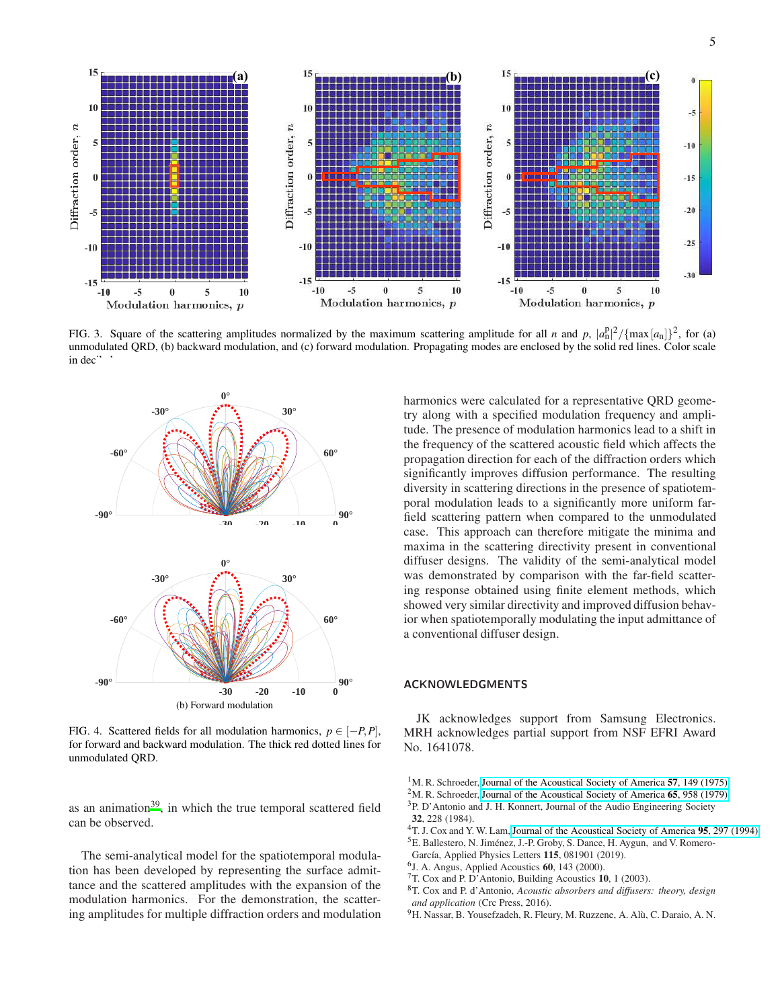

<span id="page-4-7"></span>FIG. 3. Square of the scattering amplitudes normalized by the maximum scattering amplitude for all *n* and *p*,  $|a_n^p|^2/\{\max[a_n]\}^2$ , for (a) unmodulated QRD, (b) backward modulation, and (c) forward modulation. Propagating modes are enclosed by the solid red lines. Color scale in dec<sup>11</sup>



<span id="page-4-8"></span>FIG. 4. Scattered fields for all modulation harmonics,  $p \in [-P, P]$ , for forward and backward modulation. The thick red dotted lines for unmodulated QRD.

as an animation $39$ , in which the true temporal scattered field can be observed.

The semi-analytical model for the spatiotemporal modulation has been developed by representing the surface admittance and the scattered amplitudes with the expansion of the modulation harmonics. For the demonstration, the scattering amplitudes for multiple diffraction orders and modulation harmonics were calculated for a representative QRD geometry along with a specified modulation frequency and amplitude. The presence of modulation harmonics lead to a shift in the frequency of the scattered acoustic field which affects the propagation direction for each of the diffraction orders which significantly improves diffusion performance. The resulting diversity in scattering directions in the presence of spatiotemporal modulation leads to a significantly more uniform farfield scattering pattern when compared to the unmodulated case. This approach can therefore mitigate the minima and maxima in the scattering directivity present in conventional diffuser designs. The validity of the semi-analytical model was demonstrated by comparison with the far-field scattering response obtained using finite element methods, which showed very similar directivity and improved diffusion behavior when spatiotemporally modulating the input admittance of a conventional diffuser design.

## ACKNOWLEDGMENTS

JK acknowledges support from Samsung Electronics. MRH acknowledges partial support from NSF EFRI Award No. 1641078.

- <span id="page-4-5"></span><sup>2</sup>M. R. Schroeder, [Journal of the Acoustical Society of America](http://dx.doi.org/10.1121/1.382601)  $65$ ,  $958$  (1979). <sup>3</sup>P. D'Antonio and J. H. Konnert, Journal of the Audio Engineering Society
- 32, 228 (1984).

<span id="page-4-1"></span><sup>4</sup>T. J. Cox and Y. W. Lam, [Journal of the Acoustical Society of America](http://dx.doi.org/10.1121/1.408361) 95, 297 (1994).

- <span id="page-4-2"></span><sup>5</sup>E. Ballestero, N. Jiménez, J.-P. Groby, S. Dance, H. Aygun, and V. Romero-García, Applied Physics Letters 115, 081901 (2019).
- <span id="page-4-3"></span>6 J. A. Angus, Applied Acoustics 60, 143 (2000).
- <sup>7</sup>T. Cox and P. D'Antonio, Building Acoustics 10, 1 (2003).
- <span id="page-4-4"></span><sup>8</sup>T. Cox and P. d'Antonio, *Acoustic absorbers and diffusers: theory, design and application* (Crc Press, 2016).
- <span id="page-4-6"></span><sup>9</sup>H. Nassar, B. Yousefzadeh, R. Fleury, M. Ruzzene, A. Alù, C. Daraio, A. N.

<span id="page-4-0"></span><sup>&</sup>lt;sup>1</sup>M. R. Schroeder, [Journal of the Acoustical Society of America](http://dx.doi.org/10.1121/1.380425) 57, 149 (1975).